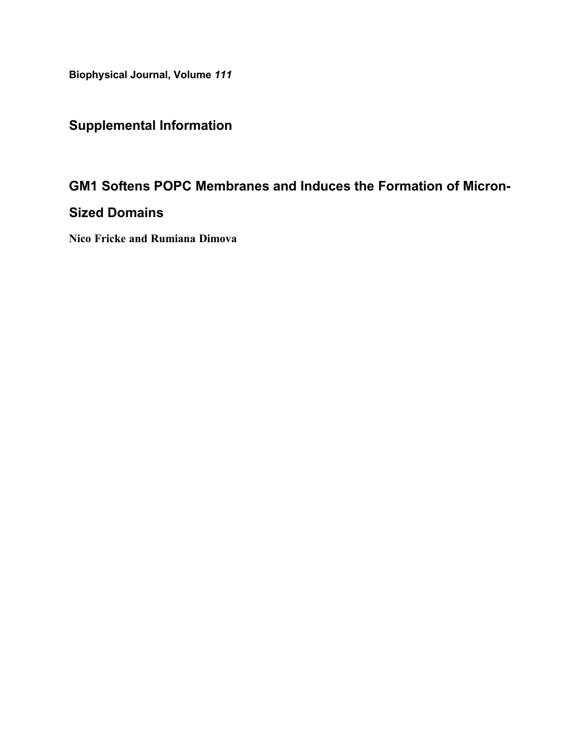Biophysical Journal, Volume 111

# Supplemental Information

## GM1 Softens POPC Membranes and Induces the Formation of Micron-

### Sized Domains

Nico Fricke and Rumiana Dimova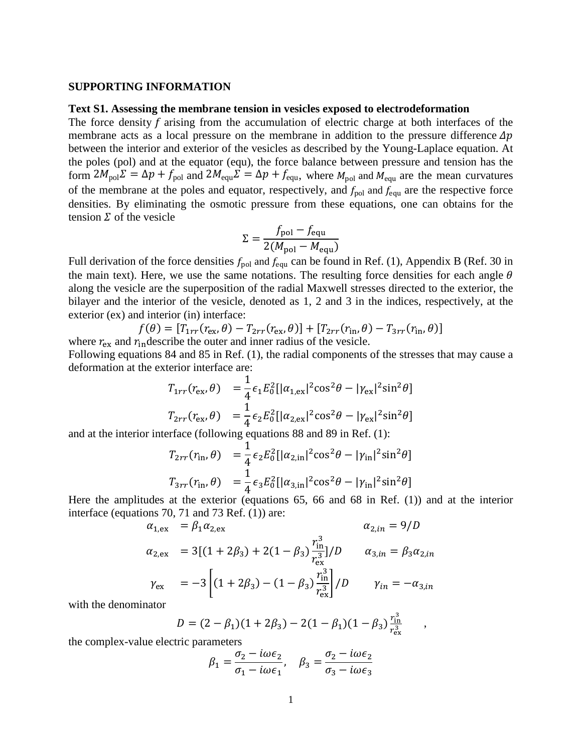#### **SUPPORTING INFORMATION**

#### **Text S1. Assessing the membrane tension in vesicles exposed to electrodeformation**

The force density  $f$  arising from the accumulation of electric charge at both interfaces of the membrane acts as a local pressure on the membrane in addition to the pressure difference  $\Delta p$ between the interior and exterior of the vesicles as described by the Young-Laplace equation. At the poles (pol) and at the equator (equ), the force balance between pressure and tension has the form  $2M_{pol}\Sigma = \Delta p + f_{pol}$  and  $2M_{equ}\Sigma = \Delta p + f_{equ}$ , where  $M_{pol}$  and  $M_{equ}$  are the mean curvatures of the membrane at the poles and equator, respectively, and  $f_{pol}$  and  $f_{equ}$  are the respective force densities. By eliminating the osmotic pressure from these equations, one can obtains for the tension  $\Sigma$  of the vesicle

$$
\Sigma = \frac{f_{\text{pol}} - f_{\text{equ}}}{2(M_{\text{pol}} - M_{\text{equ}})}
$$

Full derivation of the force densities  $f_{pol}$  and  $f_{equ}$  can be found in Ref. (1), Appendix B (Ref. 30 in the main text). Here, we use the same notations. The resulting force densities for each angle  $\theta$ along the vesicle are the superposition of the radial Maxwell stresses directed to the exterior, the bilayer and the interior of the vesicle, denoted as 1, 2 and 3 in the indices, respectively, at the exterior (ex) and interior (in) interface:

$$
f(\theta) = [T_{1rr}(r_{\rm ex}, \theta) - T_{2rr}(r_{\rm ex}, \theta)] + [T_{2rr}(r_{\rm in}, \theta) - T_{3rr}(r_{\rm in}, \theta)]
$$
  
where  $r_{\rm ex}$  and  $r_{\rm in}$  describe the outer and inner radius of the vesicle.

Following equations 84 and 85 in Ref. (1), the radial components of the stresses that may cause a deformation at the exterior interface are:

$$
T_{1rr}(r_{\rm ex}, \theta) = \frac{1}{4} \epsilon_1 E_0^2 [|\alpha_{1, \rm ex}|^2 \cos^2 \theta - |\gamma_{\rm ex}|^2 \sin^2 \theta]
$$
  

$$
T_{2rr}(r_{\rm ex}, \theta) = \frac{1}{4} \epsilon_2 E_0^2 [|\alpha_{2, \rm ex}|^2 \cos^2 \theta - |\gamma_{\rm ex}|^2 \sin^2 \theta]
$$

and at the interior interface (following equations 88 and 89 in Ref. (1):

$$
T_{2rr}(r_{\rm in}, \theta) = \frac{1}{4} \epsilon_2 E_0^2 [|\alpha_{2, \rm in}|^2 \cos^2 \theta - |\gamma_{\rm in}|^2 \sin^2 \theta]
$$
  

$$
T_{3rr}(r_{\rm in}, \theta) = \frac{1}{4} \epsilon_3 E_0^2 [|\alpha_{3, \rm in}|^2 \cos^2 \theta - |\gamma_{\rm in}|^2 \sin^2 \theta]
$$

Here the amplitudes at the exterior (equations 65, 66 and 68 in Ref. (1)) and at the interior interface (equations 70, 71 and 73 Ref. (1)) are:

$$
\alpha_{1,ex} = \beta_1 \alpha_{2,ex} \qquad \alpha_{2,in} = 9/D
$$
  
\n
$$
\alpha_{2,ex} = 3[(1 + 2\beta_3) + 2(1 - \beta_3) \frac{r_{in}^3}{r_{ex}^3}]/D \qquad \alpha_{3,in} = \beta_3 \alpha_{2,in}
$$
  
\n
$$
\gamma_{ex} = -3\left[ (1 + 2\beta_3) - (1 - \beta_3) \frac{r_{in}^3}{r_{ex}^3} \right] / D \qquad \gamma_{in} = -\alpha_{3,in}
$$

with the denominator

$$
D = (2 - \beta_1)(1 + 2\beta_3) - 2(1 - \beta_1)(1 - \beta_3)\frac{r_{\rm in}^3}{r_{\rm ex}^3} ,
$$

the complex-value electric parameters

$$
\beta_1 = \frac{\sigma_2 - i\omega \epsilon_2}{\sigma_1 - i\omega \epsilon_1}, \quad \beta_3 = \frac{\sigma_2 - i\omega \epsilon_2}{\sigma_3 - i\omega \epsilon_3}
$$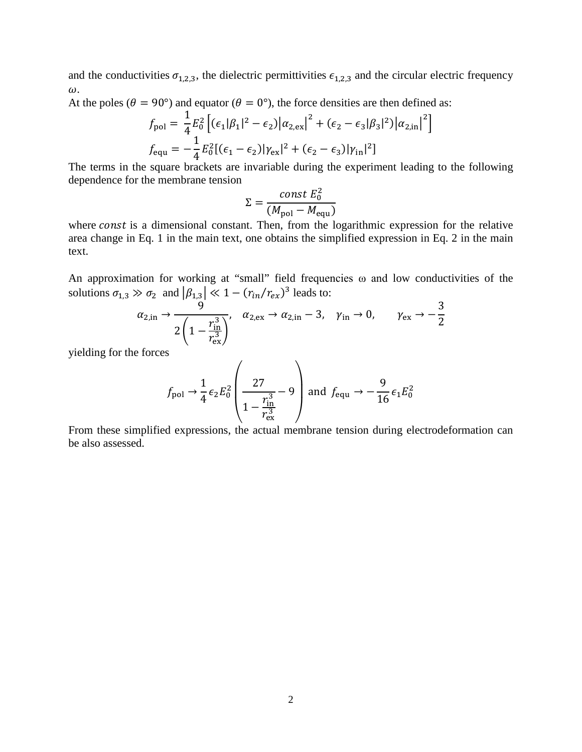and the conductivities  $\sigma_{1,2,3}$ , the dielectric permittivities  $\epsilon_{1,2,3}$  and the circular electric frequency  $\omega$ .

At the poles ( $\theta = 90^{\circ}$ ) and equator ( $\theta = 0^{\circ}$ ), the force densities are then defined as:

$$
f_{pol} = \frac{1}{4} E_0^2 \left[ (\epsilon_1 |\beta_1|^2 - \epsilon_2) |\alpha_{2,ex}|^2 + (\epsilon_2 - \epsilon_3 |\beta_3|^2) |\alpha_{2,in}|^2 \right]
$$
  

$$
f_{equ} = -\frac{1}{4} E_0^2 [(\epsilon_1 - \epsilon_2) |\gamma_{ex}|^2 + (\epsilon_2 - \epsilon_3) |\gamma_{in}|^2 ]
$$

The terms in the square brackets are invariable during the experiment leading to the following dependence for the membrane tension

$$
\Sigma = \frac{\text{const } E_0^2}{(M_{\text{pol}} - M_{\text{equ}})}
$$

where const is a dimensional constant. Then, from the logarithmic expression for the relative area change in Eq. 1 in the main text, one obtains the simplified expression in Eq. 2 in the main text.

An approximation for working at "small" field frequencies ω and low conductivities of the solutions  $\sigma_{1,3} \gg \sigma_2$  and  $|\beta_{1,3}| \ll 1 - (r_{in}/r_{ex})^3$  leads to:

$$
\alpha_{2,\text{in}} \to \frac{9}{2\left(1 - \frac{r_{\text{in}}^3}{r_{\text{ex}}^3}\right)}, \quad \alpha_{2,\text{ex}} \to \alpha_{2,\text{in}} - 3, \quad \gamma_{\text{in}} \to 0, \qquad \gamma_{\text{ex}} \to -\frac{3}{2}
$$

yielding for the forces

$$
f_{\text{pol}} \rightarrow \frac{1}{4} \epsilon_2 E_0^2 \left( \frac{27}{1 - \frac{r_{\text{in}}^3}{r_{\text{ex}}^3}} - 9 \right) \text{ and } f_{\text{equ}} \rightarrow -\frac{9}{16} \epsilon_1 E_0^2
$$

From these simplified expressions, the actual membrane tension during electrodeformation can be also assessed.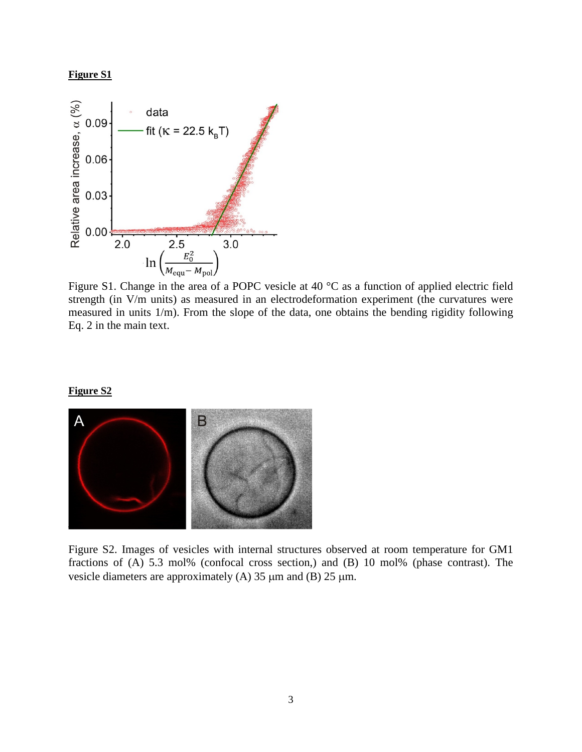### **Figure S1**



Figure S1. Change in the area of a POPC vesicle at 40 °C as a function of applied electric field strength (in V/m units) as measured in an electrodeformation experiment (the curvatures were measured in units 1/m). From the slope of the data, one obtains the bending rigidity following Eq. 2 in the main text.

#### **Figure S2**



Figure S2. Images of vesicles with internal structures observed at room temperature for GM1 fractions of (A) 5.3 mol% (confocal cross section,) and (B) 10 mol% (phase contrast). The vesicle diameters are approximately (A)  $35 \mu m$  and (B)  $25 \mu m$ .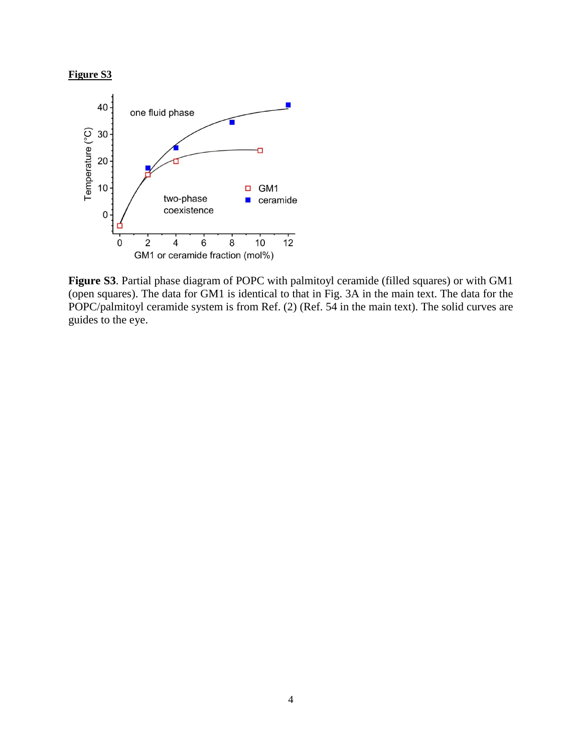



**Figure S3**. Partial phase diagram of POPC with palmitoyl ceramide (filled squares) or with GM1 (open squares). The data for GM1 is identical to that in Fig. 3A in the main text. The data for the POPC/palmitoyl ceramide system is from Ref. (2) (Ref. 54 in the main text). The solid curves are guides to the eye.